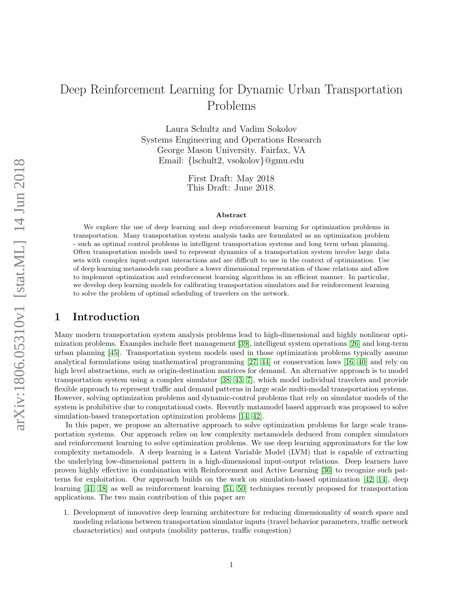# Deep Reinforcement Learning for Dynamic Urban Transportation Problems

Laura Schultz and Vadim Sokolov Systems Engineering and Operations Research George Mason University. Fairfax, VA Email: {lschult2, vsokolov}@gmu.edu

> First Draft: May 2018 This Draft: June 2018.

#### Abstract

We explore the use of deep learning and deep reinforcement learning for optimization problems in transportation. Many transportation system analysis tasks are formulated as an optimization problem - such as optimal control problems in intelligent transportation systems and long term urban planning. Often transportation models used to represent dynamics of a transportation system involve large data sets with complex input-output interactions and are difficult to use in the context of optimization. Use of deep learning metamodels can produce a lower dimensional representation of those relations and allow to implement optimization and reinforcement learning algorithms in an efficient manner. In particular, we develop deep learning models for calibrating transportation simulators and for reinforcement learning to solve the problem of optimal scheduling of travelers on the network.

# 1 Introduction

Many modern transportation system analysis problems lead to high-dimensional and highly nonlinear optimization problems. Examples include fleet management [\[39\]](#page-11-0), intelligent system operations [\[26\]](#page-10-0) and long-term urban planning [\[45\]](#page-11-1). Transportation system models used in those optimization problems typically assume analytical formulations using mathematical programming [\[27,](#page-10-1) [44\]](#page-11-2) or conservation laws [\[16,](#page-10-2) [40\]](#page-11-3) and rely on high level abstractions, such as origin-destination matrices for demand. An alternative approach is to model transportation system using a complex simulator [\[38,](#page-11-4) [43,](#page-11-5) [7\]](#page-9-0), which model individual travelers and provide flexible approach to represent traffic and demand patterns in large scale multi-modal transportation systems. However, solving optimization problems and dynamic-control problems that rely on simulator models of the system is prohibitive due to computational costs. Recently matamodel based approach was proposed to solve simulation-based transportation optimization problems [\[14,](#page-9-1) [42\]](#page-11-6).

In this paper, we propose an alternative approach to solve optimization problems for large scale transportation systems. Our approach relies on low complexity metamodels deduced from complex simulators and reinforcement learning to solve optimization problems. We use deep learning approximators for the low complexity metamodels. A deep learning is a Latent Variable Model (LVM) that is capable of extracting the underlying low-dimensional pattern in a high-dimensional input-output relations. Deep learners have proven highly effective in combination with Reinforcement and Active Learning [\[36\]](#page-11-7) to recognize such patterns for exploitation. Our approach builds on the work on simulation-based optimization [\[42,](#page-11-6) [14\]](#page-9-1), deep learning [\[41,](#page-11-8) [18\]](#page-10-3) as well as reinforcement learning [\[51,](#page-12-0) [50\]](#page-12-1) techniques recently proposed for transportation applications. The two main contribution of this paper are

1. Development of innovative deep learning architecture for reducing dimensionality of search space and modeling relations between transportation simulator inputs (travel behavior parameters, traffic network characteristics) and outputs (mobility patterns, traffic congestion)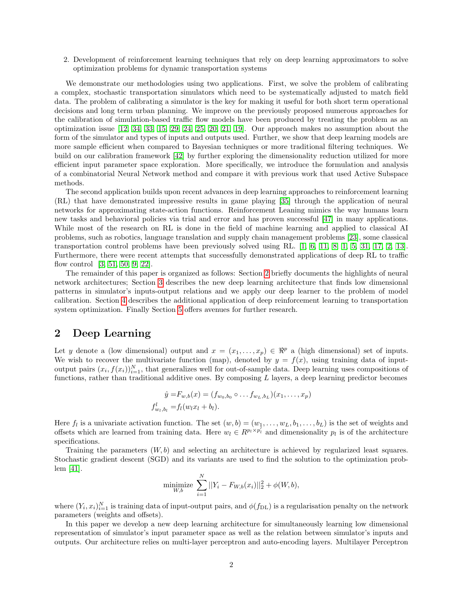2. Development of reinforcement learning techniques that rely on deep learning approximators to solve optimization problems for dynamic transportation systems

We demonstrate our methodologies using two applications. First, we solve the problem of calibrating a complex, stochastic transportation simulators which need to be systematically adjusted to match field data. The problem of calibrating a simulator is the key for making it useful for both short term operational decisions and long term urban planning. We improve on the previously proposed numerous approaches for the calibration of simulation-based traffic flow models have been produced by treating the problem as an optimization issue [\[12,](#page-9-2) [34,](#page-11-9) [33,](#page-11-10) [15,](#page-10-4) [29,](#page-10-5) [24,](#page-10-6) [25,](#page-10-7) [20,](#page-10-8) [21,](#page-10-9) [19\]](#page-10-10). Our approach makes no assumption about the form of the simulator and types of inputs and outputs used. Further, we show that deep learning models are more sample efficient when compared to Bayesian techniques or more traditional filtering techniques. We build on our calibration framework [\[42\]](#page-11-6) by further exploring the dimensionality reduction utilized for more efficient input parameter space exploration. More specifically, we introduce the formulation and analysis of a combinatorial Neural Network method and compare it with previous work that used Active Subspace methods.

The second application builds upon recent advances in deep learning approaches to reinforcement learning (RL) that have demonstrated impressive results in game playing [\[35\]](#page-11-11) through the application of neural networks for approximating state-action functions. Reinforcement Leaning mimics the way humans learn new tasks and behavioral policies via trial and error and has proven successful [\[47\]](#page-11-12) in many applications. While most of the research on RL is done in the field of machine learning and applied to classical AI problems, such as robotics, language translation and supply chain management problems [\[23\]](#page-10-11), some classical transportation control problems have been previously solved using RL. [\[1,](#page-9-3) [6,](#page-9-4) [11,](#page-9-5) [8,](#page-9-6) [1,](#page-9-3) [5,](#page-9-7) [31,](#page-10-12) [17,](#page-10-13) [2,](#page-9-8) [13\]](#page-9-9). Furthermore, there were recent attempts that successfully demonstrated applications of deep RL to traffic flow control [\[3,](#page-9-10) [51,](#page-12-0) [50,](#page-12-1) [9,](#page-9-11) [22\]](#page-10-14).

The remainder of this paper is organized as follows: Section [2](#page-1-0) briefly documents the highlights of neural network architectures; Section [3](#page-2-0) describes the new deep learning architecture that finds low dimensional patterns in simulator's inputs-output relations and we apply our deep learner to the problem of model calibration. Section [4](#page-4-0) describes the additional application of deep reinforcement learning to transportation system optimization. Finally Section [5](#page-8-0) offers avenues for further research.

### <span id="page-1-0"></span>2 Deep Learning

Let y denote a (low dimensional) output and  $x = (x_1, \ldots, x_p) \in \mathbb{R}^p$  a (high dimensional) set of inputs. We wish to recover the multivariate function (map), denoted by  $y = f(x)$ , using training data of inputoutput pairs  $(x_i, f(x_i))_{i=1}^N$ , that generalizes well for out-of-sample data. Deep learning uses compositions of functions, rather than traditional additive ones. By composing  $L$  layers, a deep learning predictor becomes

$$
\hat{y} = F_{w,b}(x) = (f_{w_0,b_0} \circ \dots f_{w_L,b_L})(x_1, \dots, x_p)
$$
  

$$
f_{w_l,b_l}^l = f_l(w_l x_l + b_l).
$$

Here  $f_l$  is a univariate activation function. The set  $(w, b) = (w_1, \ldots, w_L, b_1, \ldots, b_L)$  is the set of weights and offsets which are learned from training data. Here  $w_l \in R^{p_l \times p_l^{\tau}}$  and dimensionality  $p_l$  is of the architecture specifications.

Training the parameters  $(W, b)$  and selecting an architecture is achieved by regularized least squares. Stochastic gradient descent (SGD) and its variants are used to find the solution to the optimization problem [\[41\]](#page-11-8).

minimize 
$$
\sum_{i=1}^{N} ||Y_i - F_{W,b}(x_i)||_2^2 + \phi(W, b),
$$

where  $(Y_i, x_i)_{i=1}^N$  is training data of input-output pairs, and  $\phi(f_{\text{DL}})$  is a regularisation penalty on the network parameters (weights and offsets).

In this paper we develop a new deep learning architecture for simultaneously learning low dimensional representation of simulator's input parameter space as well as the relation between simulator's inputs and outputs. Our architecture relies on multi-layer perceptron and auto-encoding layers. Multilayer Perceptron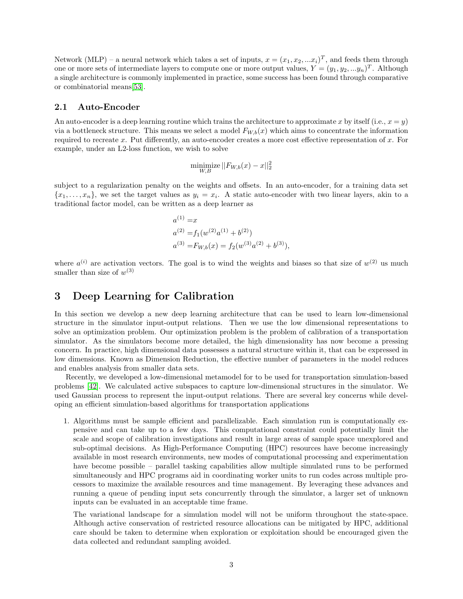Network (MLP) – a neural network which takes a set of inputs,  $x = (x_1, x_2, ... x_i)^T$ , and feeds them through one or more sets of intermediate layers to compute one or more output values,  $Y = (y_1, y_2, ... y_n)^T$ . Although a single architecture is commonly implemented in practice, some success has been found through comparative or combinatorial means[\[53\]](#page-12-2).

### 2.1 Auto-Encoder

An auto-encoder is a deep learning routine which trains the architecture to approximate x by itself (i.e.,  $x = y$ ) via a bottleneck structure. This means we select a model  $F_{W,b}(x)$  which aims to concentrate the information required to recreate x. Put differently, an auto-encoder creates a more cost effective representation of x. For example, under an L2-loss function, we wish to solve

$$
\underset{W,B}{\text{minimize}} \, ||F_{W,b}(x) - x||_2^2
$$

subject to a regularization penalty on the weights and offsets. In an auto-encoder, for a training data set  ${x_1, \ldots, x_n}$ , we set the target values as  $y_i = x_i$ . A static auto-encoder with two linear layers, akin to a traditional factor model, can be written as a deep learner as

$$
a^{(1)} = x
$$
  
\n
$$
a^{(2)} = f_1(w^{(2)}a^{(1)} + b^{(2)})
$$
  
\n
$$
a^{(3)} = F_{W,b}(x) = f_2(w^{(3)}a^{(2)} + b^{(3)}),
$$

where  $a^{(i)}$  are activation vectors. The goal is to wind the weights and biases so that size of  $w^{(2)}$  us much smaller than size of  $w^{(3)}$ 

# <span id="page-2-0"></span>3 Deep Learning for Calibration

In this section we develop a new deep learning architecture that can be used to learn low-dimensional structure in the simulator input-output relations. Then we use the low dimensional representations to solve an optimization problem. Our optimization problem is the problem of calibration of a transportation simulator. As the simulators become more detailed, the high dimensionality has now become a pressing concern. In practice, high dimensional data possesses a natural structure within it, that can be expressed in low dimensions. Known as Dimension Reduction, the effective number of parameters in the model reduces and enables analysis from smaller data sets.

Recently, we developed a low-dimensional metamodel for to be used for transportation simulation-based problems [\[42\]](#page-11-6). We calculated active subspaces to capture low-dimensional structures in the simulator. We used Gaussian process to represent the input-output relations. There are several key concerns while developing an efficient simulation-based algorithms for transportation applications

1. Algorithms must be sample efficient and parallelizable. Each simulation run is computationally expensive and can take up to a few days. This computational constraint could potentially limit the scale and scope of calibration investigations and result in large areas of sample space unexplored and sub-optimal decisions. As High-Performance Computing (HPC) resources have become increasingly available in most research environments, new modes of computational processing and experimentation have become possible – parallel tasking capabilities allow multiple simulated runs to be performed simultaneously and HPC programs aid in coordinating worker units to run codes across multiple processors to maximize the available resources and time management. By leveraging these advances and running a queue of pending input sets concurrently through the simulator, a larger set of unknown inputs can be evaluated in an acceptable time frame.

The variational landscape for a simulation model will not be uniform throughout the state-space. Although active conservation of restricted resource allocations can be mitigated by HPC, additional care should be taken to determine when exploration or exploitation should be encouraged given the data collected and redundant sampling avoided.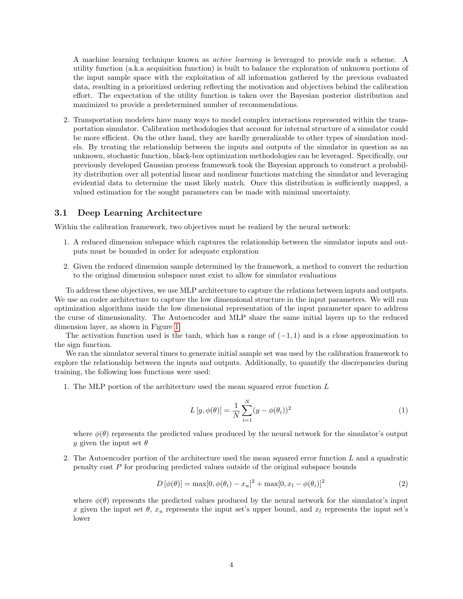A machine learning technique known as active learning is leveraged to provide such a scheme. A utility function (a.k.a acquisition function) is built to balance the exploration of unknown portions of the input sample space with the exploitation of all information gathered by the previous evaluated data, resulting in a prioritized ordering reflecting the motivation and objectives behind the calibration effort. The expectation of the utility function is taken over the Bayesian posterior distribution and maximized to provide a predetermined number of recommendations.

2. Transportation modelers have many ways to model complex interactions represented within the transportation simulator. Calibration methodologies that account for internal structure of a simulator could be more efficient. On the other hand, they are hardly generalizable to other types of simulation models. By treating the relationship between the inputs and outputs of the simulator in question as an unknown, stochastic function, black-box optimization methodologies can be leveraged. Specifically, our previously developed Gaussian process framework took the Bayesian approach to construct a probability distribution over all potential linear and nonlinear functions matching the simulator and leveraging evidential data to determine the most likely match. Once this distribution is sufficiently mapped, a valued estimation for the sought parameters can be made with minimal uncertainty.

### 3.1 Deep Learning Architecture

Within the calibration framework, two objectives must be realized by the neural network:

- 1. A reduced dimension subspace which captures the relationship between the simulator inputs and outputs must be bounded in order for adequate exploration
- 2. Given the reduced dimension sample determined by the framework, a method to convert the reduction to the original dimension subspace must exist to allow for simulator evaluations

To address these objectives, we use MLP architecture to capture the relations between inputs and outputs. We use an coder architecture to capture the low dimensional structure in the input parameters. We will run optimization algorithms inside the low dimensional representation of the input parameter space to address the curse of dimensionality. The Autoencoder and MLP share the same initial layers up to the reduced dimension layer, as shown in Figure [1.](#page-4-1)

The activation function used is the tanh, which has a range of  $(-1, 1)$  and is a close approximation to the sign function.

We ran the simulator several times to generate initial sample set was used by the calibration framework to explore the relationship between the inputs and outputs. Additionally, to quantify the discrepancies during training, the following loss functions were used:

1. The MLP portion of the architecture used the mean squared error function L

$$
L[y, \phi(\theta)] = \frac{1}{N} \sum_{i=1}^{N} (y - \phi(\theta_i))^2
$$
\n(1)

where  $\phi(\theta)$  represents the predicted values produced by the neural network for the simulator's output y given the input set  $\theta$ 

2. The Autoencoder portion of the architecture used the mean squared error function L and a quadratic penalty cost  $P$  for producing predicted values outside of the original subspace bounds

$$
D[\phi(\theta)] = \max[0, \phi(\theta_i) - x_u]^2 + \max[0, x_l - \phi(\theta_i)]^2
$$
\n(2)

where  $\phi(\theta)$  represents the predicted values produced by the neural network for the simulator's input x given the input set  $\theta$ ,  $x_u$  represents the input set's upper bound, and  $x_l$  represents the input set's lower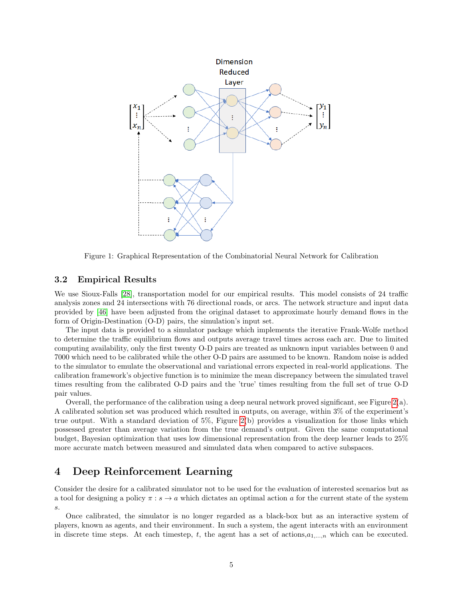

<span id="page-4-1"></span>Figure 1: Graphical Representation of the Combinatorial Neural Network for Calibration

### 3.2 Empirical Results

We use Sioux-Falls [\[28\]](#page-10-15), transportation model for our empirical results. This model consists of 24 traffic analysis zones and 24 intersections with 76 directional roads, or arcs. The network structure and input data provided by [\[46\]](#page-11-13) have been adjusted from the original dataset to approximate hourly demand flows in the form of Origin-Destination (O-D) pairs, the simulation's input set.

The input data is provided to a simulator package which implements the iterative Frank-Wolfe method to determine the traffic equilibrium flows and outputs average travel times across each arc. Due to limited computing availability, only the first twenty O-D pairs are treated as unknown input variables between 0 and 7000 which need to be calibrated while the other O-D pairs are assumed to be known. Random noise is added to the simulator to emulate the observational and variational errors expected in real-world applications. The calibration framework's objective function is to minimize the mean discrepancy between the simulated travel times resulting from the calibrated O-D pairs and the 'true' times resulting from the full set of true O-D pair values.

Overall, the performance of the calibration using a deep neural network proved significant, see Figure [2\(](#page-5-0)a). A calibrated solution set was produced which resulted in outputs, on average, within 3% of the experiment's true output. With a standard deviation of 5%, Figure [2\(](#page-5-0)b) provides a visualization for those links which possessed greater than average variation from the true demand's output. Given the same computational budget, Bayesian optimization that uses low dimensional representation from the deep learner leads to 25% more accurate match between measured and simulated data when compared to active subspaces.

# <span id="page-4-0"></span>4 Deep Reinforcement Learning

Consider the desire for a calibrated simulator not to be used for the evaluation of interested scenarios but as a tool for designing a policy  $\pi : s \to a$  which dictates an optimal action a for the current state of the system s.

Once calibrated, the simulator is no longer regarded as a black-box but as an interactive system of players, known as agents, and their environment. In such a system, the agent interacts with an environment in discrete time steps. At each timestep, t, the agent has a set of actions, $a_{1,\dots,n}$  which can be executed.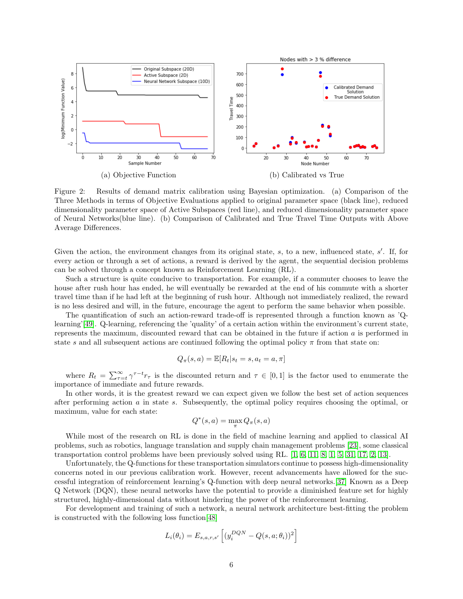

<span id="page-5-0"></span>Figure 2: Results of demand matrix calibration using Bayesian optimization. (a) Comparison of the Three Methods in terms of Objective Evaluations applied to original parameter space (black line), reduced dimensionality parameter space of Active Subspaces (red line), and reduced dimensionality parameter space of Neural Networks(blue line). (b) Comparison of Calibrated and True Travel Time Outputs with Above Average Differences.

Given the action, the environment changes from its original state,  $s$ , to a new, influenced state,  $s'$ . If, for every action or through a set of actions, a reward is derived by the agent, the sequential decision problems can be solved through a concept known as Reinforcement Learning (RL).

Such a structure is quite conducive to transportation. For example, if a commuter chooses to leave the house after rush hour has ended, he will eventually be rewarded at the end of his commute with a shorter travel time than if he had left at the beginning of rush hour. Although not immediately realized, the reward is no less desired and will, in the future, encourage the agent to perform the same behavior when possible.

The quantification of such an action-reward trade-off is represented through a function known as 'Q-learning'[\[49\]](#page-12-3). Q-learning, referencing the 'quality' of a certain action within the environment's current state, represents the maximum, discounted reward that can be obtained in the future if action a is performed in state s and all subsequent actions are continued following the optimal policy  $\pi$  from that state on:

$$
Q_{\pi}(s, a) = \mathbb{E}[R_t | s_t = s, a_t = a, \pi]
$$

where  $R_t = \sum_{\tau=t}^{\infty} \gamma^{\tau-t} r_{\tau}$  is the discounted return and  $\tau \in [0,1]$  is the factor used to enumerate the importance of immediate and future rewards.

In other words, it is the greatest reward we can expect given we follow the best set of action sequences after performing action a in state s. Subsequently, the optimal policy requires choosing the optimal, or maximum, value for each state:

$$
Q^*(s,a) = \max_{\pi} Q_{\pi}(s,a)
$$

While most of the research on RL is done in the field of machine learning and applied to classical AI problems, such as robotics, language translation and supply chain management problems [\[23\]](#page-10-11), some classical transportation control problems have been previously solved using RL. [\[1,](#page-9-3) [6,](#page-9-4) [11,](#page-9-5) [8,](#page-9-6) [1,](#page-9-3) [5,](#page-9-7) [31,](#page-10-12) [17,](#page-10-13) [2,](#page-9-8) [13\]](#page-9-9).

Unfortunately, the Q-functions for these transportation simulators continue to possess high-dimensionality concerns noted in our previous calibration work. However, recent advancements have allowed for the successful integration of reinforcement learning's Q-function with deep neural networks.[\[37\]](#page-11-14) Known as a Deep Q Network (DQN), these neural networks have the potential to provide a diminished feature set for highly structured, highly-dimensional data without hindering the power of the reinforcement learning.

For development and training of such a network, a neural network architecture best-fitting the problem is constructed with the following loss function[\[48\]](#page-12-4)

$$
L_i(\theta_i) = E_{s,a,r,s'} \left[ (y_i^{DQN} - Q(s,a;\theta_i))^2 \right]
$$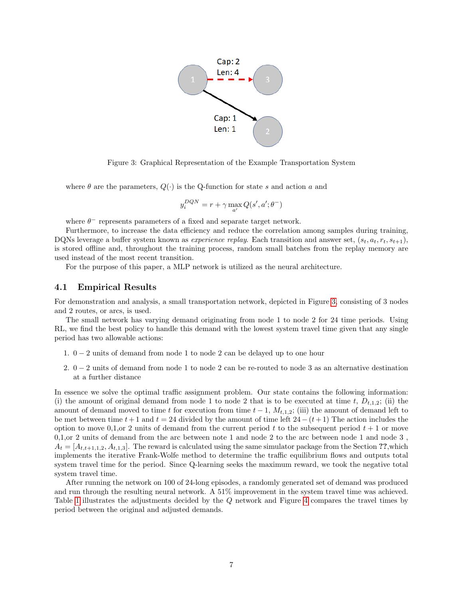

<span id="page-6-0"></span>Figure 3: Graphical Representation of the Example Transportation System

where  $\theta$  are the parameters,  $Q(\cdot)$  is the Q-function for state s and action a and

$$
y_i^{DQN}=r+\gamma \max_{a'}Q(s',a';\theta^-)
$$

where  $\theta^-$  represents parameters of a fixed and separate target network.

Furthermore, to increase the data efficiency and reduce the correlation among samples during training, DQNs leverage a buffer system known as *experience replay*. Each transition and answer set,  $(s_t, a_t, r_t, s_{t+1}),$ is stored offline and, throughout the training process, random small batches from the replay memory are used instead of the most recent transition.

For the purpose of this paper, a MLP network is utilized as the neural architecture.

### 4.1 Empirical Results

For demonstration and analysis, a small transportation network, depicted in Figure [3,](#page-6-0) consisting of 3 nodes and 2 routes, or arcs, is used.

The small network has varying demand originating from node 1 to node 2 for 24 time periods. Using RL, we find the best policy to handle this demand with the lowest system travel time given that any single period has two allowable actions:

- 1. 0 − 2 units of demand from node 1 to node 2 can be delayed up to one hour
- 2. 0 − 2 units of demand from node 1 to node 2 can be re-routed to node 3 as an alternative destination at a further distance

In essence we solve the optimal traffic assignment problem. Our state contains the following information: (i) the amount of original demand from node 1 to node 2 that is to be executed at time t,  $D_{t,1,2}$ ; (ii) the amount of demand moved to time t for execution from time  $t - 1$ ,  $M_{t,1,2}$ ; (iii) the amount of demand left to be met between time  $t + 1$  and  $t = 24$  divided by the amount of time left  $24 - (t + 1)$  The action includes the option to move 0,1,or 2 units of demand from the current period t to the subsequent period  $t + 1$  or move 0,1,or 2 units of demand from the arc between note 1 and node 2 to the arc between node 1 and node 3 ,  $A_t = [A_{t,t+1,1,2}, A_{t,1,3}]$ . The reward is calculated using the same simulator package from the Section ??,which implements the iterative Frank-Wolfe method to determine the traffic equilibrium flows and outputs total system travel time for the period. Since Q-learning seeks the maximum reward, we took the negative total system travel time.

After running the network on 100 of 24-long episodes, a randomly generated set of demand was produced and run through the resulting neural network. A 51% improvement in the system travel time was achieved. Table [1](#page-8-1) illustrates the adjustments decided by the Q network and Figure [4](#page-7-0) compares the travel times by period between the original and adjusted demands.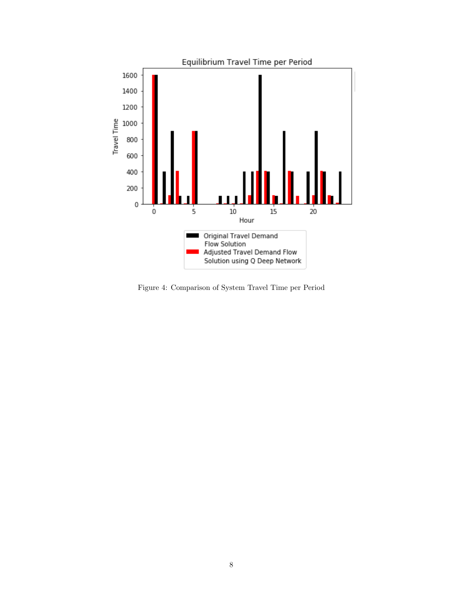

<span id="page-7-0"></span>Figure 4: Comparison of System Travel Time per Period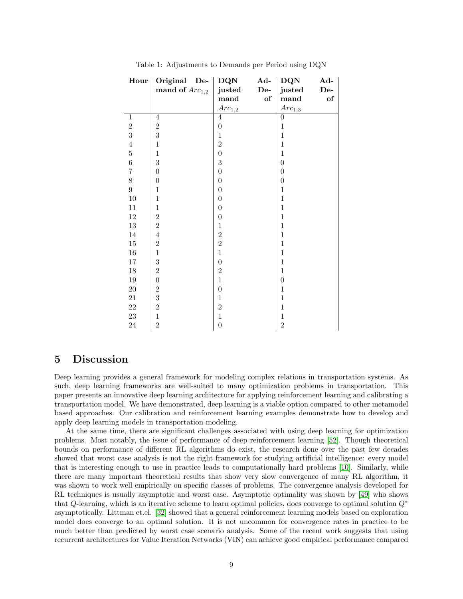| Hour           | Original De-     | DQN              | Ad-           | DQN                | Ad-   |
|----------------|------------------|------------------|---------------|--------------------|-------|
|                | mand of $Arc1,2$ | justed           | $\mathbf{De}$ | justed             | $De-$ |
|                |                  | mand             | of            | mand               | of    |
|                |                  | $Arc_{1,2}$      |               | Arc <sub>1,3</sub> |       |
| $\mathbf{1}$   | 4                | 4                |               | $\theta$           |       |
| $\overline{2}$ | $\overline{2}$   | $\boldsymbol{0}$ |               | $\mathbf{1}$       |       |
| 3              | 3                | $\mathbf{1}$     |               | $\mathbf{1}$       |       |
| $\overline{4}$ | $\mathbf{1}$     | $\sqrt{2}$       |               | $\mathbf{1}$       |       |
| $\overline{5}$ | $\mathbf{1}$     | $\overline{0}$   |               | $\mathbf 1$        |       |
| $\overline{6}$ | 3                | $\sqrt{3}$       |               | $\boldsymbol{0}$   |       |
| $\overline{7}$ | $\overline{0}$   | $\overline{0}$   |               | $\theta$           |       |
| 8              | $\overline{0}$   | $\overline{0}$   |               | $\theta$           |       |
| $\overline{9}$ | $\mathbf{1}$     | $\overline{0}$   |               | $\mathbf{1}$       |       |
| $10\,$         | $\mathbf{1}$     | $\overline{0}$   |               | $\mathbf{1}$       |       |
| $11\,$         | $\mathbf{1}$     | $\overline{0}$   |               | $\mathbf{1}$       |       |
| $12\,$         | $\overline{2}$   | $\overline{0}$   |               | $\mathbf{1}$       |       |
| $13\,$         | $\overline{2}$   | $\mathbf{1}$     |               | $\mathbf{1}$       |       |
| 14             | $\overline{4}$   | $\overline{2}$   |               | $\mathbf{1}$       |       |
| $15\,$         | $\overline{2}$   | $\overline{2}$   |               | $\mathbf{1}$       |       |
| $16\,$         | $\mathbf{1}$     | $\mathbf{1}$     |               | $\overline{1}$     |       |
| 17             | 3                | $\overline{0}$   |               | $\mathbf{1}$       |       |
| $18\,$         | $\overline{2}$   | $\,2$            |               | $\mathbf{1}$       |       |
| $19\,$         | $\overline{0}$   | $\mathbf{1}$     |               | $\overline{0}$     |       |
| $20\,$         | $\overline{2}$   | $\boldsymbol{0}$ |               | $\mathbf{1}$       |       |
| 21             | 3                | $\mathbf{1}$     |               | 1                  |       |
| $22\,$         | $\overline{2}$   | $\overline{2}$   |               | $\mathbf{1}$       |       |
| $23\,$         | $\mathbf{1}$     | $\mathbf{1}$     |               | $\mathbf{1}$       |       |
| $24\,$         | $\overline{2}$   | $\boldsymbol{0}$ |               | $\overline{2}$     |       |

<span id="page-8-1"></span>Table 1: Adjustments to Demands per Period using DQN

### <span id="page-8-0"></span>5 Discussion

Deep learning provides a general framework for modeling complex relations in transportation systems. As such, deep learning frameworks are well-suited to many optimization problems in transportation. This paper presents an innovative deep learning architecture for applying reinforcement learning and calibrating a transportation model. We have demonstrated, deep learning is a viable option compared to other metamodel based approaches. Our calibration and reinforcement learning examples demonstrate how to develop and apply deep learning models in transportation modeling.

At the same time, there are significant challenges associated with using deep learning for optimization problems. Most notably, the issue of performance of deep reinforcement learning [\[52\]](#page-12-5). Though theoretical bounds on performance of different RL algorithms do exist, the research done over the past few decades showed that worst case analysis is not the right framework for studying artificial intelligence: every model that is interesting enough to use in practice leads to computationally hard problems [\[10\]](#page-9-12). Similarly, while there are many important theoretical results that show very slow convergence of many RL algorithm, it was shown to work well empirically on specific classes of problems. The convergence analysis developed for RL techniques is usually asymptotic and worst case. Asymptotic optimality was shown by [\[49\]](#page-12-3) who shows that Q-learning, which is an iterative scheme to learn optimal policies, does converge to optimal solution Q<sup>∗</sup> asymptotically. Littman et.el. [\[32\]](#page-11-15) showed that a general reinforcement learning models based on exploration model does converge to an optimal solution. It is not uncommon for convergence rates in practice to be much better than predicted by worst case scenario analysis. Some of the recent work suggests that using recurrent architectures for Value Iteration Networks (VIN) can achieve good empirical performance compared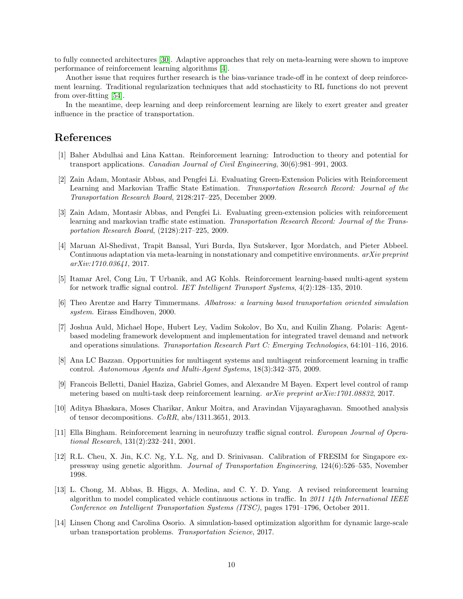to fully connected architectures [\[30\]](#page-10-16). Adaptive approaches that rely on meta-learning were shown to improve performance of reinforcement learning algorithms [\[4\]](#page-9-13).

Another issue that requires further research is the bias-variance trade-off in he context of deep reinforcement learning. Traditional regularization techniques that add stochasticity to RL functions do not prevent from over-fitting [\[54\]](#page-12-6).

In the meantime, deep learning and deep reinforcement learning are likely to exert greater and greater influence in the practice of transportation.

## References

- <span id="page-9-3"></span>[1] Baher Abdulhai and Lina Kattan. Reinforcement learning: Introduction to theory and potential for transport applications. Canadian Journal of Civil Engineering, 30(6):981–991, 2003.
- <span id="page-9-8"></span>[2] Zain Adam, Montasir Abbas, and Pengfei Li. Evaluating Green-Extension Policies with Reinforcement Learning and Markovian Traffic State Estimation. Transportation Research Record: Journal of the Transportation Research Board, 2128:217–225, December 2009.
- <span id="page-9-10"></span>[3] Zain Adam, Montasir Abbas, and Pengfei Li. Evaluating green-extension policies with reinforcement learning and markovian traffic state estimation. Transportation Research Record: Journal of the Transportation Research Board, (2128):217–225, 2009.
- <span id="page-9-13"></span>[4] Maruan Al-Shedivat, Trapit Bansal, Yuri Burda, Ilya Sutskever, Igor Mordatch, and Pieter Abbeel. Continuous adaptation via meta-learning in nonstationary and competitive environments. arXiv preprint arXiv:1710.03641, 2017.
- <span id="page-9-7"></span>[5] Itamar Arel, Cong Liu, T Urbanik, and AG Kohls. Reinforcement learning-based multi-agent system for network traffic signal control. IET Intelligent Transport Systems, 4(2):128–135, 2010.
- <span id="page-9-4"></span>[6] Theo Arentze and Harry Timmermans. Albatross: a learning based transportation oriented simulation system. Eirass Eindhoven, 2000.
- <span id="page-9-0"></span>[7] Joshua Auld, Michael Hope, Hubert Ley, Vadim Sokolov, Bo Xu, and Kuilin Zhang. Polaris: Agentbased modeling framework development and implementation for integrated travel demand and network and operations simulations. Transportation Research Part C: Emerging Technologies, 64:101–116, 2016.
- <span id="page-9-6"></span>[8] Ana LC Bazzan. Opportunities for multiagent systems and multiagent reinforcement learning in traffic control. Autonomous Agents and Multi-Agent Systems, 18(3):342–375, 2009.
- <span id="page-9-11"></span>[9] Francois Belletti, Daniel Haziza, Gabriel Gomes, and Alexandre M Bayen. Expert level control of ramp metering based on multi-task deep reinforcement learning. arXiv preprint arXiv:1701.08832, 2017.
- <span id="page-9-12"></span>[10] Aditya Bhaskara, Moses Charikar, Ankur Moitra, and Aravindan Vijayaraghavan. Smoothed analysis of tensor decompositions. CoRR, abs/1311.3651, 2013.
- <span id="page-9-5"></span>[11] Ella Bingham. Reinforcement learning in neurofuzzy traffic signal control. European Journal of Operational Research, 131(2):232–241, 2001.
- <span id="page-9-2"></span>[12] R.L. Cheu, X. Jin, K.C. Ng, Y.L. Ng, and D. Srinivasan. Calibration of FRESIM for Singapore expressway using genetic algorithm. Journal of Transportation Engineering, 124(6):526–535, November 1998.
- <span id="page-9-9"></span>[13] L. Chong, M. Abbas, B. Higgs, A. Medina, and C. Y. D. Yang. A revised reinforcement learning algorithm to model complicated vehicle continuous actions in traffic. In 2011 14th International IEEE Conference on Intelligent Transportation Systems (ITSC), pages 1791–1796, October 2011.
- <span id="page-9-1"></span>[14] Linsen Chong and Carolina Osorio. A simulation-based optimization algorithm for dynamic large-scale urban transportation problems. Transportation Science, 2017.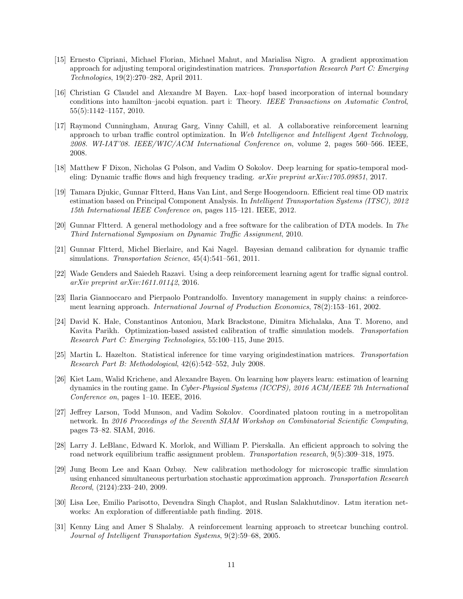- <span id="page-10-4"></span>[15] Ernesto Cipriani, Michael Florian, Michael Mahut, and Marialisa Nigro. A gradient approximation approach for adjusting temporal origindestination matrices. Transportation Research Part C: Emerging Technologies, 19(2):270–282, April 2011.
- <span id="page-10-2"></span>[16] Christian G Claudel and Alexandre M Bayen. Lax–hopf based incorporation of internal boundary conditions into hamilton–jacobi equation. part i: Theory. IEEE Transactions on Automatic Control, 55(5):1142–1157, 2010.
- <span id="page-10-13"></span>[17] Raymond Cunningham, Anurag Garg, Vinny Cahill, et al. A collaborative reinforcement learning approach to urban traffic control optimization. In Web Intelligence and Intelligent Agent Technology, 2008. WI-IAT'08. IEEE/WIC/ACM International Conference on, volume 2, pages 560–566. IEEE, 2008.
- <span id="page-10-3"></span>[18] Matthew F Dixon, Nicholas G Polson, and Vadim O Sokolov. Deep learning for spatio-temporal modeling: Dynamic traffic flows and high frequency trading.  $arXiv$  preprint  $arXiv$ :1705.09851, 2017.
- <span id="page-10-10"></span>[19] Tamara Djukic, Gunnar Fltterd, Hans Van Lint, and Serge Hoogendoorn. Efficient real time OD matrix estimation based on Principal Component Analysis. In Intelligent Transportation Systems (ITSC), 2012 15th International IEEE Conference on, pages 115–121. IEEE, 2012.
- <span id="page-10-8"></span>[20] Gunnar Fltterd. A general methodology and a free software for the calibration of DTA models. In The Third International Symposium on Dynamic Traffic Assignment, 2010.
- <span id="page-10-9"></span>[21] Gunnar Fltterd, Michel Bierlaire, and Kai Nagel. Bayesian demand calibration for dynamic traffic simulations. Transportation Science, 45(4):541-561, 2011.
- <span id="page-10-14"></span>[22] Wade Genders and Saiedeh Razavi. Using a deep reinforcement learning agent for traffic signal control. arXiv preprint arXiv:1611.01142, 2016.
- <span id="page-10-11"></span>[23] Ilaria Giannoccaro and Pierpaolo Pontrandolfo. Inventory management in supply chains: a reinforcement learning approach. International Journal of Production Economics, 78(2):153–161, 2002.
- <span id="page-10-6"></span>[24] David K. Hale, Constantinos Antoniou, Mark Brackstone, Dimitra Michalaka, Ana T. Moreno, and Kavita Parikh. Optimization-based assisted calibration of traffic simulation models. Transportation Research Part C: Emerging Technologies, 55:100–115, June 2015.
- <span id="page-10-7"></span>[25] Martin L. Hazelton. Statistical inference for time varying origindestination matrices. Transportation Research Part B: Methodological, 42(6):542–552, July 2008.
- <span id="page-10-0"></span>[26] Kiet Lam, Walid Krichene, and Alexandre Bayen. On learning how players learn: estimation of learning dynamics in the routing game. In Cyber-Physical Systems (ICCPS), 2016 ACM/IEEE 7th International Conference on, pages 1–10. IEEE, 2016.
- <span id="page-10-1"></span>[27] Jeffrey Larson, Todd Munson, and Vadim Sokolov. Coordinated platoon routing in a metropolitan network. In 2016 Proceedings of the Seventh SIAM Workshop on Combinatorial Scientific Computing, pages 73–82. SIAM, 2016.
- <span id="page-10-15"></span>[28] Larry J. LeBlanc, Edward K. Morlok, and William P. Pierskalla. An efficient approach to solving the road network equilibrium traffic assignment problem. Transportation research, 9(5):309–318, 1975.
- <span id="page-10-5"></span>[29] Jung Beom Lee and Kaan Ozbay. New calibration methodology for microscopic traffic simulation using enhanced simultaneous perturbation stochastic approximation approach. Transportation Research Record, (2124):233–240, 2009.
- <span id="page-10-16"></span>[30] Lisa Lee, Emilio Parisotto, Devendra Singh Chaplot, and Ruslan Salakhutdinov. Lstm iteration networks: An exploration of differentiable path finding. 2018.
- <span id="page-10-12"></span>[31] Kenny Ling and Amer S Shalaby. A reinforcement learning approach to streetcar bunching control. Journal of Intelligent Transportation Systems, 9(2):59–68, 2005.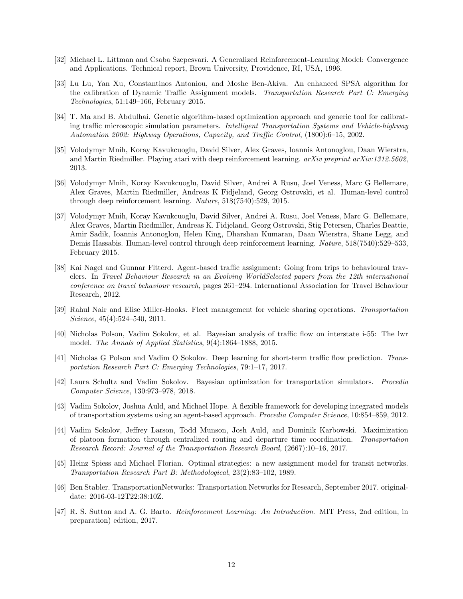- <span id="page-11-15"></span>[32] Michael L. Littman and Csaba Szepesvari. A Generalized Reinforcement-Learning Model: Convergence and Applications. Technical report, Brown University, Providence, RI, USA, 1996.
- <span id="page-11-10"></span>[33] Lu Lu, Yan Xu, Constantinos Antoniou, and Moshe Ben-Akiva. An enhanced SPSA algorithm for the calibration of Dynamic Traffic Assignment models. Transportation Research Part C: Emerging Technologies, 51:149–166, February 2015.
- <span id="page-11-9"></span>[34] T. Ma and B. Abdulhai. Genetic algorithm-based optimization approach and generic tool for calibrating traffic microscopic simulation parameters. Intelligent Transportation Systems and Vehicle-highway Automation 2002: Highway Operations, Capacity, and Traffic Control, (1800):6–15, 2002.
- <span id="page-11-11"></span>[35] Volodymyr Mnih, Koray Kavukcuoglu, David Silver, Alex Graves, Ioannis Antonoglou, Daan Wierstra, and Martin Riedmiller. Playing atari with deep reinforcement learning. arXiv preprint arXiv:1312.5602, 2013.
- <span id="page-11-7"></span>[36] Volodymyr Mnih, Koray Kavukcuoglu, David Silver, Andrei A Rusu, Joel Veness, Marc G Bellemare, Alex Graves, Martin Riedmiller, Andreas K Fidjeland, Georg Ostrovski, et al. Human-level control through deep reinforcement learning. Nature, 518(7540):529, 2015.
- <span id="page-11-14"></span>[37] Volodymyr Mnih, Koray Kavukcuoglu, David Silver, Andrei A. Rusu, Joel Veness, Marc G. Bellemare, Alex Graves, Martin Riedmiller, Andreas K. Fidjeland, Georg Ostrovski, Stig Petersen, Charles Beattie, Amir Sadik, Ioannis Antonoglou, Helen King, Dharshan Kumaran, Daan Wierstra, Shane Legg, and Demis Hassabis. Human-level control through deep reinforcement learning. Nature, 518(7540):529–533, February 2015.
- <span id="page-11-4"></span>[38] Kai Nagel and Gunnar Fltterd. Agent-based traffic assignment: Going from trips to behavioural travelers. In Travel Behaviour Research in an Evolving WorldSelected papers from the 12th international conference on travel behaviour research, pages 261–294. International Association for Travel Behaviour Research, 2012.
- <span id="page-11-0"></span>[39] Rahul Nair and Elise Miller-Hooks. Fleet management for vehicle sharing operations. Transportation Science, 45(4):524–540, 2011.
- <span id="page-11-3"></span>[40] Nicholas Polson, Vadim Sokolov, et al. Bayesian analysis of traffic flow on interstate i-55: The lwr model. The Annals of Applied Statistics, 9(4):1864–1888, 2015.
- <span id="page-11-8"></span>[41] Nicholas G Polson and Vadim O Sokolov. Deep learning for short-term traffic flow prediction. Transportation Research Part C: Emerging Technologies, 79:1–17, 2017.
- <span id="page-11-6"></span>[42] Laura Schultz and Vadim Sokolov. Bayesian optimization for transportation simulators. Procedia Computer Science, 130:973–978, 2018.
- <span id="page-11-5"></span>[43] Vadim Sokolov, Joshua Auld, and Michael Hope. A flexible framework for developing integrated models of transportation systems using an agent-based approach. Procedia Computer Science, 10:854–859, 2012.
- <span id="page-11-2"></span>[44] Vadim Sokolov, Jeffrey Larson, Todd Munson, Josh Auld, and Dominik Karbowski. Maximization of platoon formation through centralized routing and departure time coordination. Transportation Research Record: Journal of the Transportation Research Board, (2667):10–16, 2017.
- <span id="page-11-1"></span>[45] Heinz Spiess and Michael Florian. Optimal strategies: a new assignment model for transit networks. Transportation Research Part B: Methodological, 23(2):83–102, 1989.
- <span id="page-11-13"></span>[46] Ben Stabler. TransportationNetworks: Transportation Networks for Research, September 2017. originaldate: 2016-03-12T22:38:10Z.
- <span id="page-11-12"></span>[47] R. S. Sutton and A. G. Barto. Reinforcement Learning: An Introduction. MIT Press, 2nd edition, in preparation) edition, 2017.